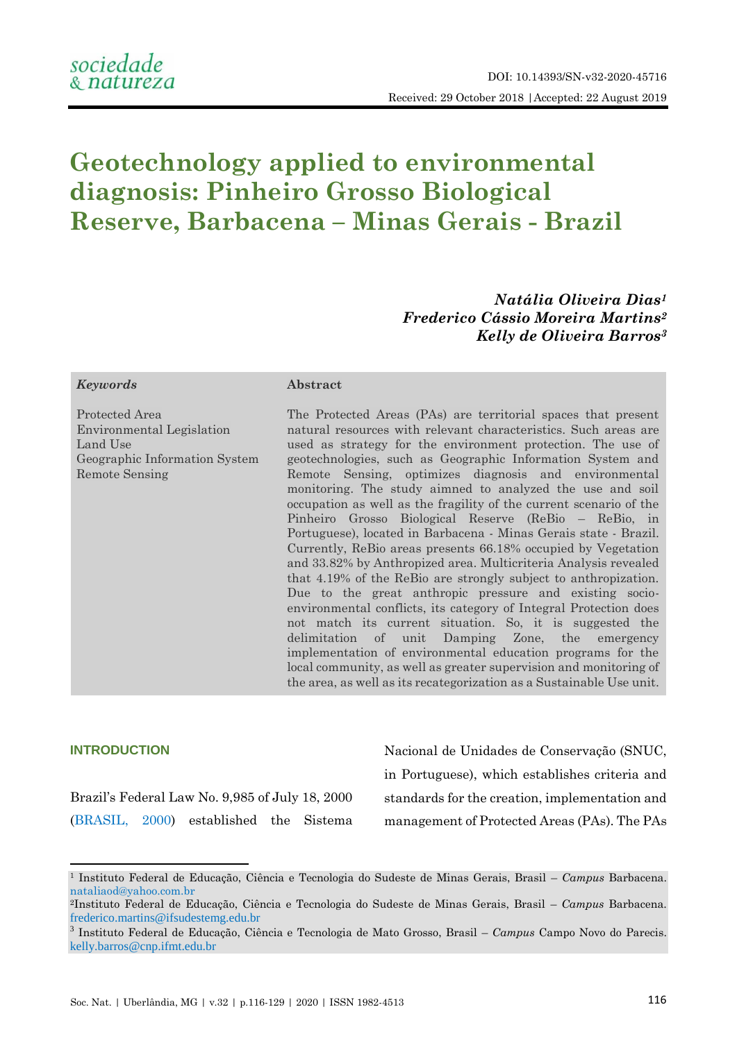# **Geotechnology applied to environmental diagnosis: Pinheiro Grosso Biological Reserve, Barbacena – Minas Gerais - Brazil**

*Natália Oliveira Dias<sup>1</sup> Frederico Cássio Moreira Martins<sup>2</sup> Kelly de Oliveira Barros<sup>3</sup>*

#### *Keywords* **Abstract**

Protected Area Environmental Legislation Land Use Geographic Information System Remote Sensing

The Protected Areas (PAs) are territorial spaces that present natural resources with relevant characteristics. Such areas are used as strategy for the environment protection. The use of geotechnologies, such as Geographic Information System and Remote Sensing, optimizes diagnosis and environmental monitoring. The study aimned to analyzed the use and soil occupation as well as the fragility of the current scenario of the Pinheiro Grosso Biological Reserve (ReBio – ReBio, in Portuguese), located in Barbacena - Minas Gerais state - Brazil. Currently, ReBio areas presents 66.18% occupied by Vegetation and 33.82% by Anthropized area. Multicriteria Analysis revealed that 4.19% of the ReBio are strongly subject to anthropization. Due to the great anthropic pressure and existing socioenvironmental conflicts, its category of Integral Protection does not match its current situation. So, it is suggested the delimitation of unit Damping Zone, the emergency implementation of environmental education programs for the local community, as well as greater supervision and monitoring of the area, as well as its recategorization as a Sustainable Use unit.

# **INTRODUCTION**

**.** 

Brazil's Federal Law No. 9,985 of July 18, 2000 [\(BRASIL, 2000\)](#page-11-0) established the Sistema Nacional de Unidades de Conservação (SNUC, in Portuguese), which establishes criteria and standards for the creation, implementation and management of Protected Areas (PAs). The PAs

<sup>1</sup> Instituto Federal de Educação, Ciência e Tecnologia do Sudeste de Minas Gerais, Brasil – *Campus* Barbacena. [nataliaod@yahoo.com.br](mailto:nataliaod@yahoo.com.br)

<sup>2</sup>Instituto Federal de Educação, Ciência e Tecnologia do Sudeste de Minas Gerais, Brasil – *Campus* Barbacena. [frederico.martins@ifsudestemg.edu.br](mailto:frederico.martins@ifsudestemg.edu.br)

<sup>3</sup> Instituto Federal de Educação, Ciência e Tecnologia de Mato Grosso, Brasil – *Campus* Campo Novo do Parecis. [kelly.barros@cnp.ifmt.edu.br](mailto:kelly.barros@cnp.ifmt.edu.br)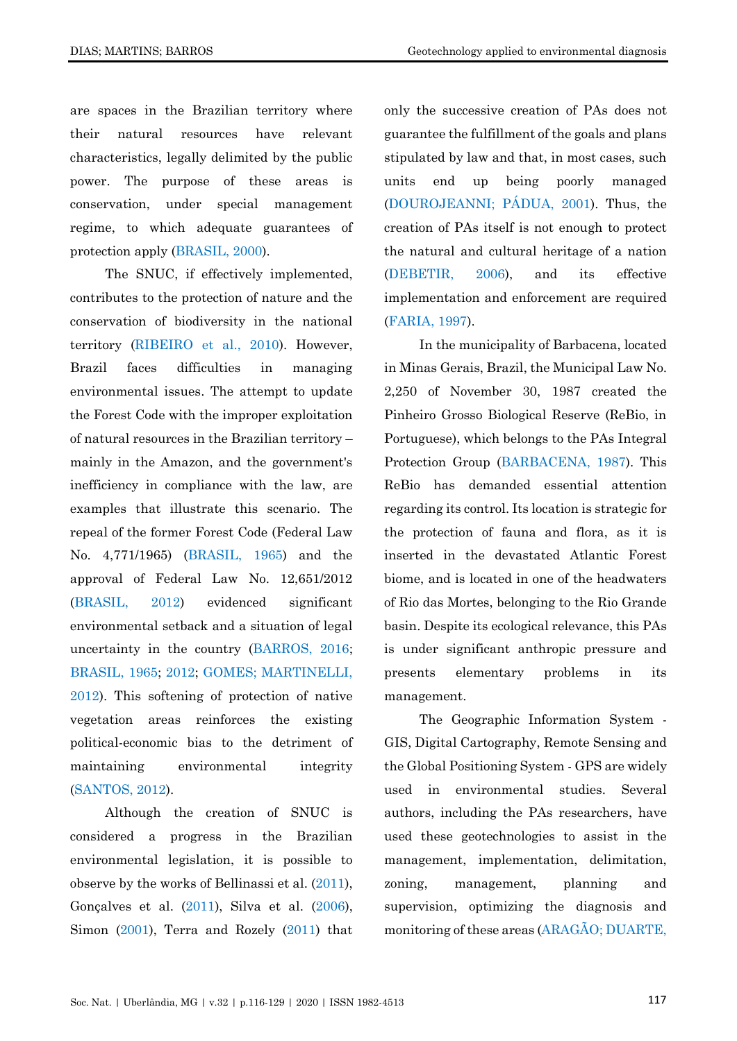are spaces in the Brazilian territory where their natural resources have relevant characteristics, legally delimited by the public power. The purpose of these areas is conservation, under special management regime, to which adequate guarantees of protection apply [\(BRASIL, 2000\)](#page-11-0).

The SNUC, if effectively implemented, contributes to the protection of nature and the conservation of biodiversity in the national territory [\(RIBEIRO et al., 2010\)](#page-12-0). However, Brazil faces difficulties in managing environmental issues. The attempt to update the Forest Code with the improper exploitation of natural resources in the Brazilian territory – mainly in the Amazon, and the government's inefficiency in compliance with the law, are examples that illustrate this scenario. The repeal of the former Forest Code (Federal Law No. 4,771/1965) [\(BRASIL, 1965\)](#page-11-1) and the approval of Federal Law No. 12,651/2012 [\(BRASIL, 2012\)](#page-11-2) evidenced significant environmental setback and a situation of legal uncertainty in the country [\(BARROS, 2016;](#page-11-3) [BRASIL, 1965;](#page-11-1) [2012;](#page-11-2) [GOMES; MARTINELLI,](#page-12-1)  [2012\)](#page-12-1). This softening of protection of native vegetation areas reinforces the existing political-economic bias to the detriment of maintaining environmental integrity [\(SANTOS, 2012\)](#page-12-2).

Although the creation of SNUC is considered a progress in the Brazilian environmental legislation, it is possible to observe by the works of Bellinassi et al. [\(2011\)](#page-11-4), Gonçalves et al. [\(2011\)](#page-12-3), Silva et al. [\(2006\)](#page-12-4), Simon [\(2001\)](#page-12-5), Terra and Rozely [\(2011\)](#page-12-6) that only the successive creation of PAs does not guarantee the fulfillment of the goals and plans stipulated by law and that, in most cases, such units end up being poorly managed [\(DOUROJEANNI; PÁDUA, 2001\)](#page-11-5). Thus, the creation of PAs itself is not enough to protect the natural and cultural heritage of a nation [\(DEBETIR, 2006\)](#page-11-6), and its effective implementation and enforcement are required [\(FARIA, 1997\)](#page-12-7).

In the municipality of Barbacena, located in Minas Gerais, Brazil, the Municipal Law No. 2,250 of November 30, 1987 created the Pinheiro Grosso Biological Reserve (ReBio, in Portuguese), which belongs to the PAs Integral Protection Group [\(BARBACENA, 1987\)](#page-11-7). This ReBio has demanded essential attention regarding its control. Its location is strategic for the protection of fauna and flora, as it is inserted in the devastated Atlantic Forest biome, and is located in one of the headwaters of Rio das Mortes, belonging to the Rio Grande basin. Despite its ecological relevance, this PAs is under significant anthropic pressure and presents elementary problems in its management.

The Geographic Information System - GIS, Digital Cartography, Remote Sensing and the Global Positioning System - GPS are widely used in environmental studies. Several authors, including the PAs researchers, have used these geotechnologies to assist in the management, implementation, delimitation, zoning, management, planning and supervision, optimizing the diagnosis and monitoring of these areas [\(ARAGÃO; DUARTE,](#page-11-8)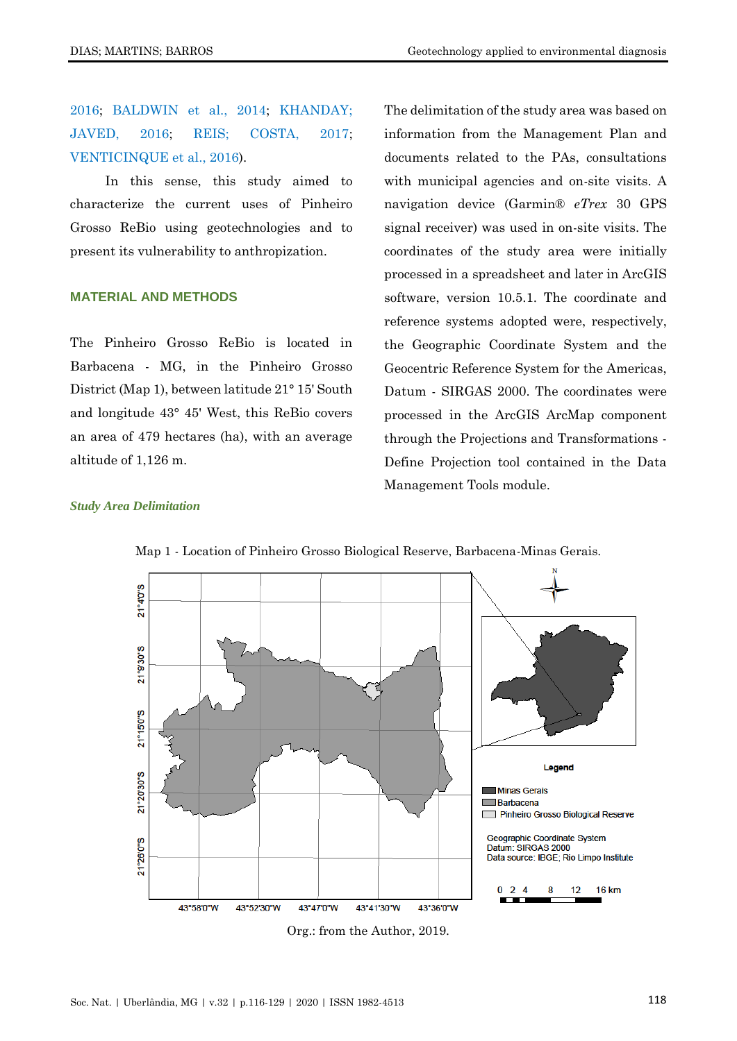[2016;](#page-11-8) [BALDWIN et al., 2014;](#page-11-9) [KHANDAY;](#page-12-8)  [JAVED, 2016;](#page-12-8) [REIS; COSTA, 2017;](#page-12-9) [VENTICINQUE et al., 2016\)](#page-13-0).

In this sense, this study aimed to characterize the current uses of Pinheiro Grosso ReBio using geotechnologies and to present its vulnerability to anthropization.

### **MATERIAL AND METHODS**

The Pinheiro Grosso ReBio is located in Barbacena - MG, in the Pinheiro Grosso District (Map 1), between latitude 21° 15' South and longitude 43° 45' West, this ReBio covers an area of 479 hectares (ha), with an average altitude of 1,126 m.

The delimitation of the study area was based on information from the Management Plan and documents related to the PAs, consultations with municipal agencies and on-site visits. A navigation device (Garmin® *eTrex* 30 GPS signal receiver) was used in on-site visits. The coordinates of the study area were initially processed in a spreadsheet and later in ArcGIS software, version 10.5.1. The coordinate and reference systems adopted were, respectively, the Geographic Coordinate System and the Geocentric Reference System for the Americas, Datum - SIRGAS 2000. The coordinates were processed in the ArcGIS ArcMap component through the Projections and Transformations - Define Projection tool contained in the Data Management Tools module.

#### *Study Area Delimitation*



Map 1 - Location of Pinheiro Grosso Biological Reserve, Barbacena-Minas Gerais.

Org.: from the Author, 2019.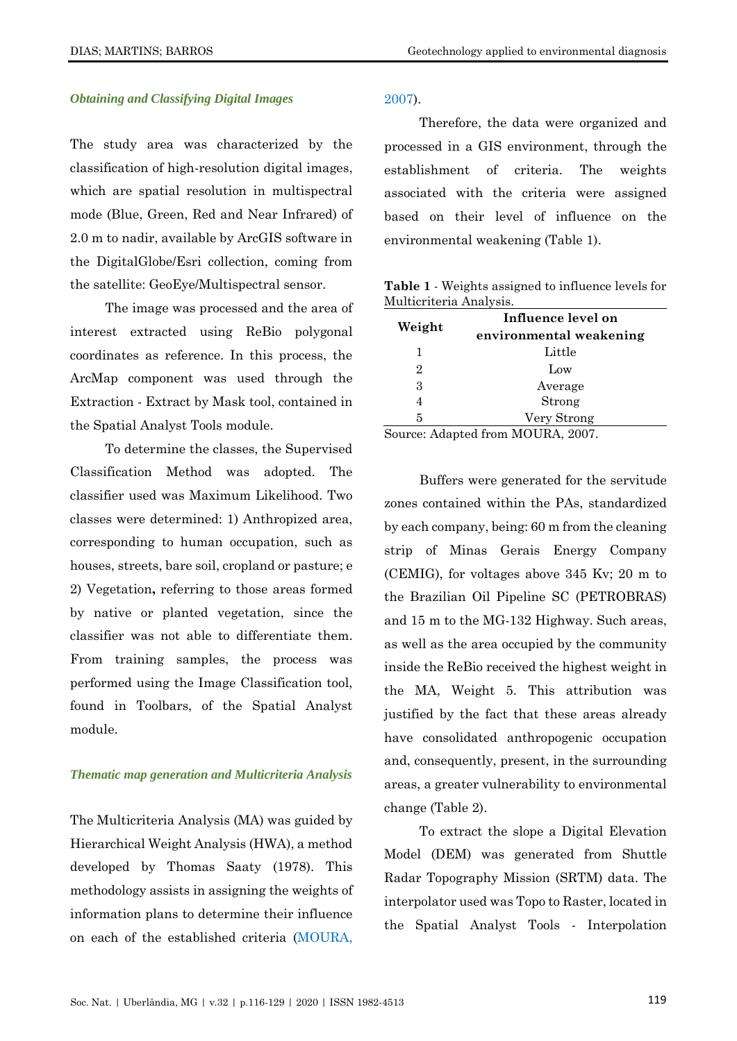### *Obtaining and Classifying Digital Images*

The study area was characterized by the classification of high-resolution digital images, which are spatial resolution in multispectral mode (Blue, Green, Red and Near Infrared) of 2.0 m to nadir, available by ArcGIS software in the DigitalGlobe/Esri collection, coming from the satellite: GeoEye/Multispectral sensor.

The image was processed and the area of interest extracted using ReBio polygonal coordinates as reference. In this process, the ArcMap component was used through the Extraction - Extract by Mask tool, contained in the Spatial Analyst Tools module.

To determine the classes, the Supervised Classification Method was adopted. The classifier used was Maximum Likelihood. Two classes were determined: 1) Anthropized area, corresponding to human occupation, such as houses, streets, bare soil, cropland or pasture; e 2) Vegetation**,** referring to those areas formed by native or planted vegetation, since the classifier was not able to differentiate them. From training samples, the process was performed using the Image Classification tool, found in Toolbars, of the Spatial Analyst module.

#### *Thematic map generation and Multicriteria Analysis*

The Multicriteria Analysis (MA) was guided by Hierarchical Weight Analysis (HWA), a method developed by Thomas Saaty (1978). This methodology assists in assigning the weights of information plans to determine their influence on each of the established criteria [\(MOURA,](#page-12-10) 

[2007\)](#page-12-10).

Therefore, the data were organized and processed in a GIS environment, through the establishment of criteria. The weights associated with the criteria were assigned based on their level of influence on the environmental weakening (Table 1).

**Table 1** - Weights assigned to influence levels for Multicriteria Analysis.

| Weight | Influence level on                |
|--------|-----------------------------------|
|        | environmental weakening           |
|        | Little                            |
| 2      | Low                               |
| 3      | Average                           |
|        | Strong                            |
| 5      | Very Strong                       |
|        | Source: Adapted from MOURA, 2007. |

aapted from MOURA, 2007. Buffers were generated for the servitude zones contained within the PAs, standardized by each company, being: 60 m from the cleaning strip of Minas Gerais Energy Company (CEMIG), for voltages above 345 Kv; 20 m to the Brazilian Oil Pipeline SC (PETROBRAS) and 15 m to the MG-132 Highway. Such areas, as well as the area occupied by the community inside the ReBio received the highest weight in the MA, Weight 5. This attribution was justified by the fact that these areas already have consolidated anthropogenic occupation and, consequently, present, in the surrounding areas, a greater vulnerability to environmental

To extract the slope a Digital Elevation Model (DEM) was generated from Shuttle Radar Topography Mission (SRTM) data. The interpolator used was Topo to Raster, located in the Spatial Analyst Tools - Interpolation

change (Table 2).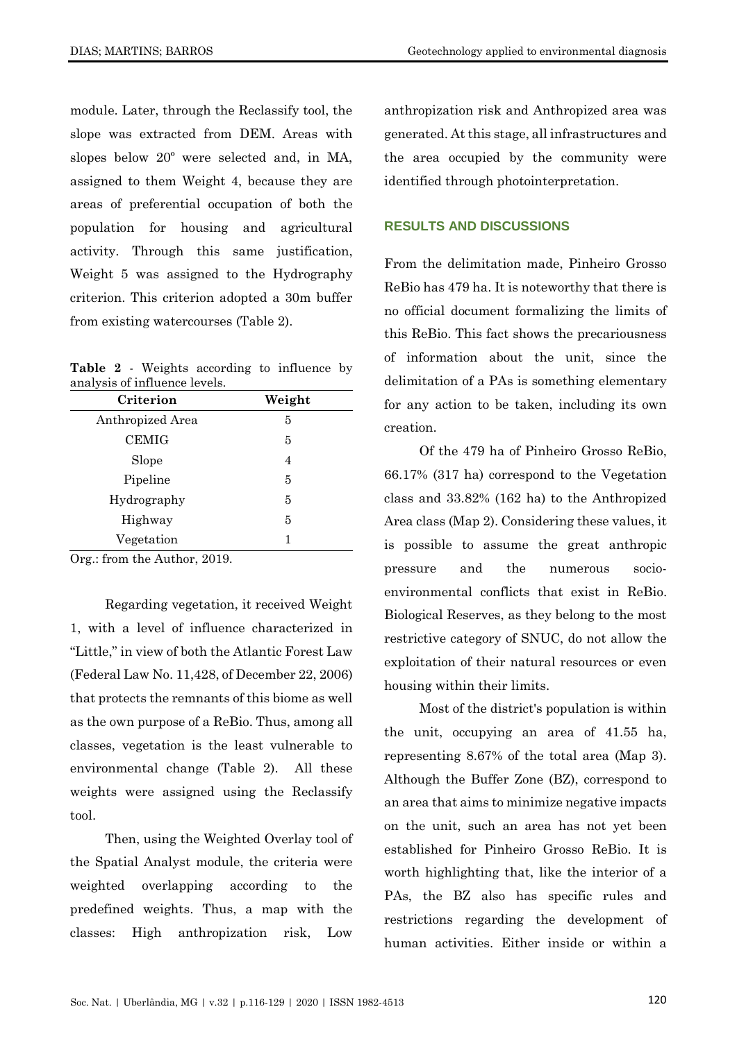module. Later, through the Reclassify tool, the slope was extracted from DEM. Areas with slopes below 20º were selected and, in MA, assigned to them Weight 4, because they are areas of preferential occupation of both the population for housing and agricultural activity. Through this same justification, Weight 5 was assigned to the Hydrography criterion. This criterion adopted a 30m buffer from existing watercourses (Table 2).

**Table 2** - Weights according to influence by analysis of influence levels.

| Criterion        | Weight |  |
|------------------|--------|--|
| Anthropized Area | 5      |  |
| <b>CEMIG</b>     | 5      |  |
| Slope            | 4      |  |
| Pipeline         | 5      |  |
| Hydrography      | 5      |  |
| Highway          | 5      |  |
| Vegetation       |        |  |

Org.: from the Author, 2019.

Regarding vegetation, it received Weight 1, with a level of influence characterized in "Little," in view of both the Atlantic Forest Law (Federal Law No. 11,428, of December 22, 2006) that protects the remnants of this biome as well as the own purpose of a ReBio. Thus, among all classes, vegetation is the least vulnerable to environmental change (Table 2). All these weights were assigned using the Reclassify tool.

Then, using the Weighted Overlay tool of the Spatial Analyst module, the criteria were weighted overlapping according to the predefined weights. Thus, a map with the classes: High anthropization risk, Low

anthropization risk and Anthropized area was generated. At this stage, all infrastructures and the area occupied by the community were identified through photointerpretation.

# **RESULTS AND DISCUSSIONS**

From the delimitation made, Pinheiro Grosso ReBio has 479 ha. It is noteworthy that there is no official document formalizing the limits of this ReBio. This fact shows the precariousness of information about the unit, since the delimitation of a PAs is something elementary for any action to be taken, including its own creation.

Of the 479 ha of Pinheiro Grosso ReBio, 66.17% (317 ha) correspond to the Vegetation class and 33.82% (162 ha) to the Anthropized Area class (Map 2). Considering these values, it is possible to assume the great anthropic pressure and the numerous socioenvironmental conflicts that exist in ReBio. Biological Reserves, as they belong to the most restrictive category of SNUC, do not allow the exploitation of their natural resources or even housing within their limits.

Most of the district's population is within the unit, occupying an area of 41.55 ha, representing 8.67% of the total area (Map 3). Although the Buffer Zone (BZ), correspond to an area that aims to minimize negative impacts on the unit, such an area has not yet been established for Pinheiro Grosso ReBio. It is worth highlighting that, like the interior of a PAs, the BZ also has specific rules and restrictions regarding the development of human activities. Either inside or within a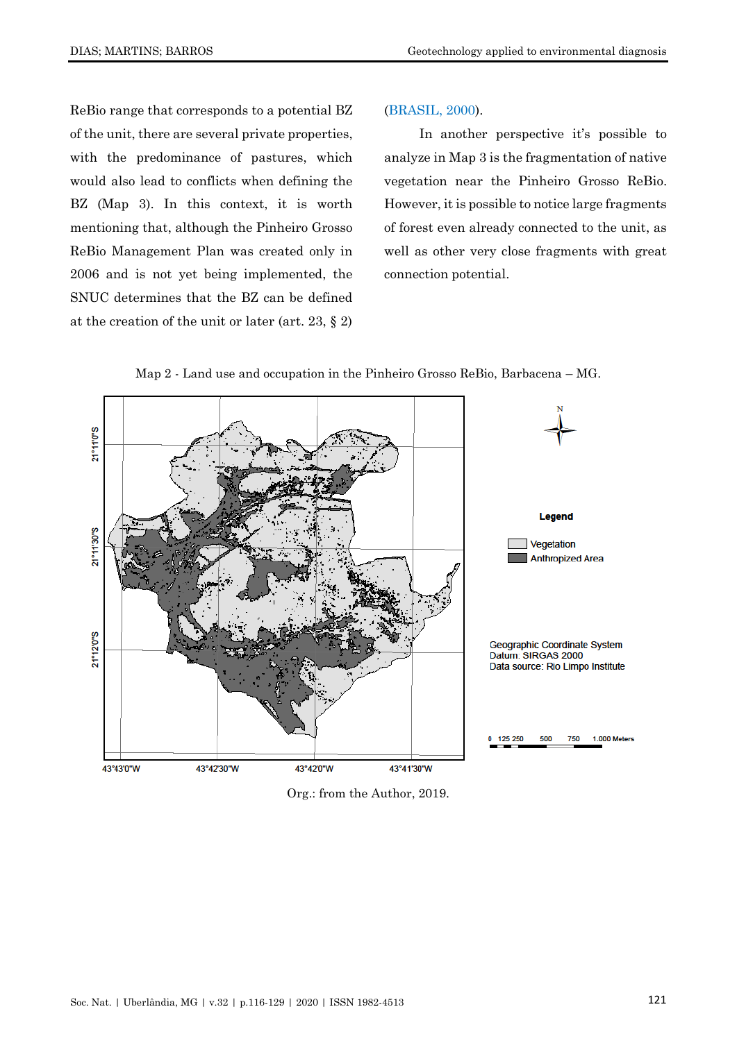ReBio range that corresponds to a potential BZ of the unit, there are several private properties, with the predominance of pastures, which would also lead to conflicts when defining the BZ (Map 3). In this context, it is worth mentioning that, although the Pinheiro Grosso ReBio Management Plan was created only in 2006 and is not yet being implemented, the SNUC determines that the BZ can be defined at the creation of the unit or later (art. 23, § 2)

### [\(BRASIL, 2000\)](#page-11-0).

In another perspective it's possible to analyze in Map 3 is the fragmentation of native vegetation near the Pinheiro Grosso ReBio. However, it is possible to notice large fragments of forest even already connected to the unit, as well as other very close fragments with great connection potential.





Org.: from the Author, 2019.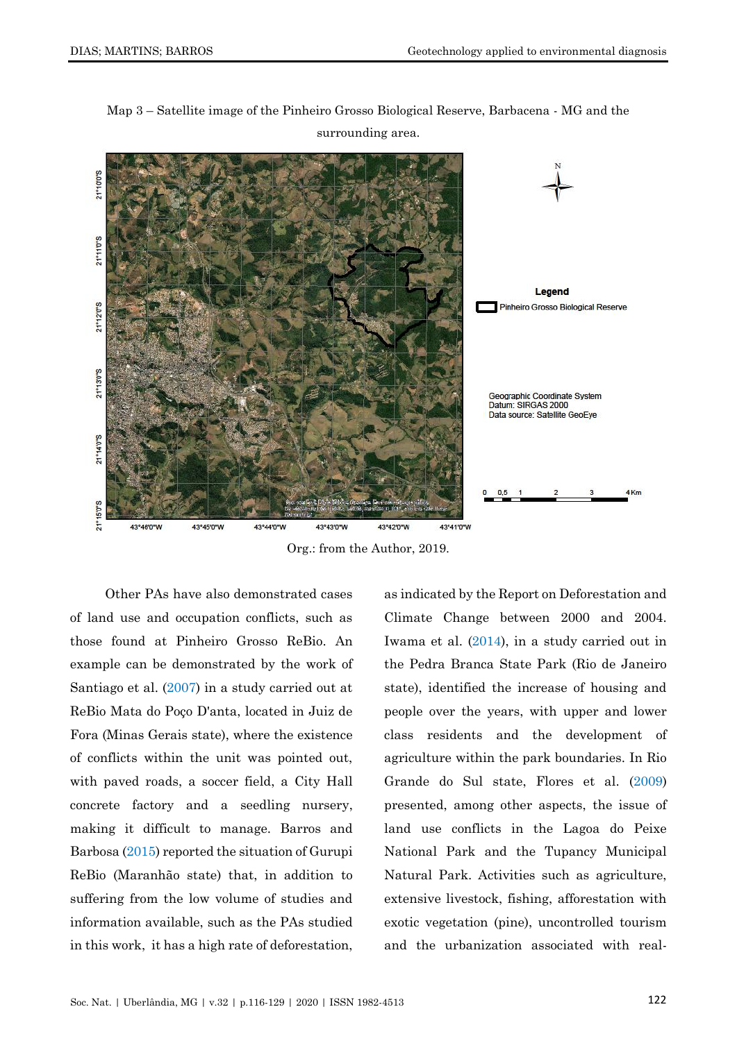

Map 3 – Satellite image of the Pinheiro Grosso Biological Reserve, Barbacena - MG and the surrounding area.

Org.: from the Author, 2019.

Other PAs have also demonstrated cases of land use and occupation conflicts, such as those found at Pinheiro Grosso ReBio. An example can be demonstrated by the work of Santiago et al. [\(2007\)](#page-12-11) in a study carried out at ReBio Mata do Poço D'anta, located in Juiz de Fora (Minas Gerais state), where the existence of conflicts within the unit was pointed out, with paved roads, a soccer field, a City Hall concrete factory and a seedling nursery, making it difficult to manage. Barros and Barbosa [\(2015\)](#page-11-10) reported the situation of Gurupi ReBio (Maranhão state) that, in addition to suffering from the low volume of studies and information available, such as the PAs studied in this work, it has a high rate of deforestation,

as indicated by the Report on Deforestation and Climate Change between 2000 and 2004. Iwama et al. [\(2014\)](#page-12-12), in a study carried out in the Pedra Branca State Park (Rio de Janeiro state), identified the increase of housing and people over the years, with upper and lower class residents and the development of agriculture within the park boundaries. In Rio Grande do Sul state, Flores et al. [\(2009\)](#page-12-13) presented, among other aspects, the issue of land use conflicts in the Lagoa do Peixe National Park and the Tupancy Municipal Natural Park. Activities such as agriculture, extensive livestock, fishing, afforestation with exotic vegetation (pine), uncontrolled tourism and the urbanization associated with real-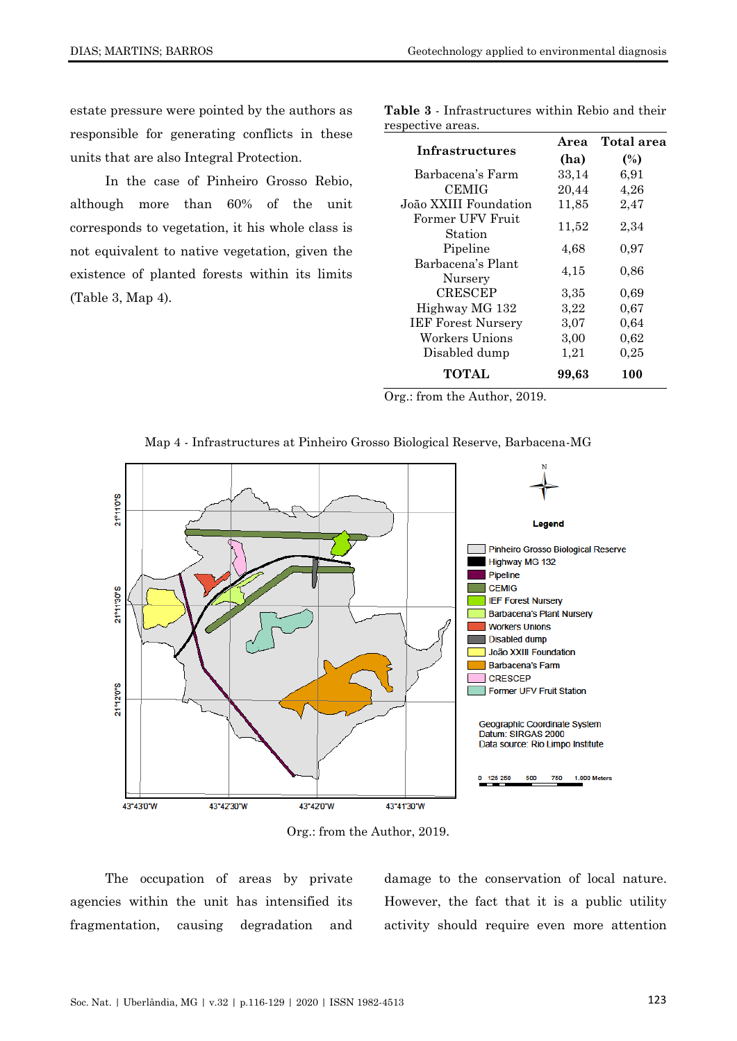estate pressure were pointed by the authors as responsible for generating conflicts in these units that are also Integral Protection.

In the case of Pinheiro Grosso Rebio, although more than 60% of the unit corresponds to vegetation, it his whole class is not equivalent to native vegetation, given the existence of planted forests within its limits (Table 3, Map 4).

**Table 3** - Infrastructures within Rebio and their respective areas.

| Infrastructures              | Area  | Total area |
|------------------------------|-------|------------|
|                              | (ha)  | (%)        |
| Barbacena's Farm             | 33,14 | 6,91       |
| <b>CEMIG</b>                 | 20,44 | 4,26       |
| João XXIII Foundation        | 11,85 | 2,47       |
| Former UFV Fruit<br>Station  | 11,52 | 2,34       |
| Pipeline                     | 4,68  | 0,97       |
| Barbacena's Plant<br>Nursery | 4,15  | 0.86       |
| <b>CRESCEP</b>               | 3,35  | 0,69       |
| Highway MG 132               | 3,22  | 0,67       |
| <b>IEF Forest Nursery</b>    | 3,07  | 0,64       |
| Workers Unions               | 3,00  | 0,62       |
| Disabled dump                | 1,21  | 0,25       |
| <b>TOTAL</b>                 | 99,63 | 100        |

Org.: from the Author, 2019.





Org.: from the Author, 2019.

The occupation of areas by private agencies within the unit has intensified its fragmentation, causing degradation and damage to the conservation of local nature. However, the fact that it is a public utility activity should require even more attention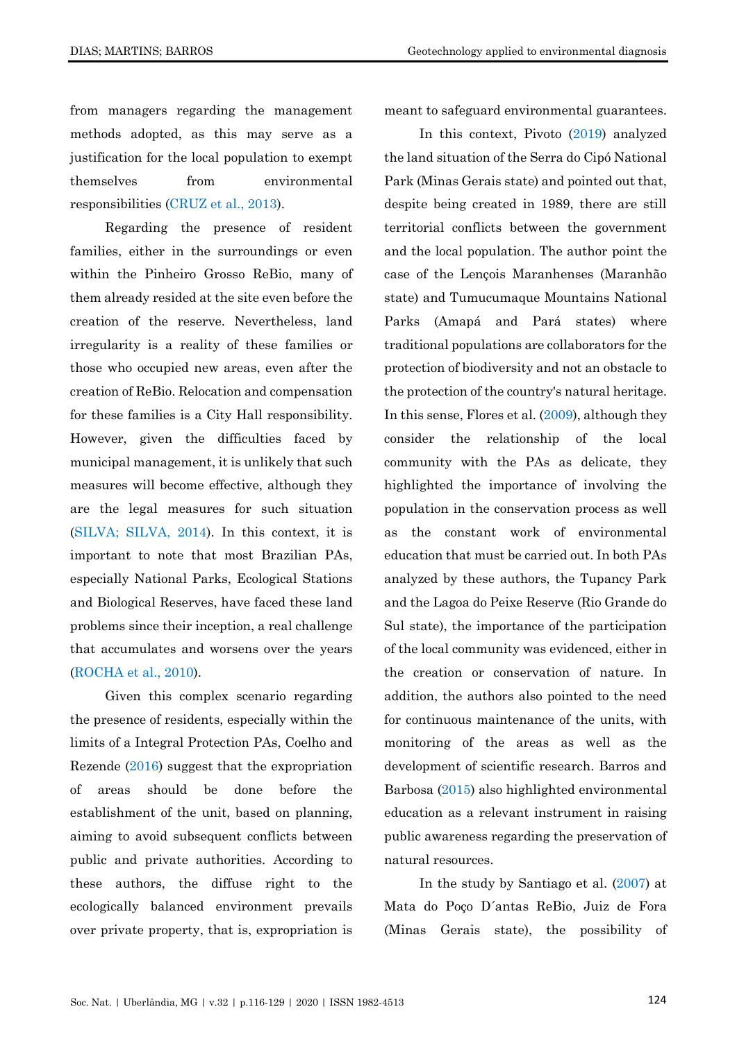from managers regarding the management methods adopted, as this may serve as a justification for the local population to exempt themselves from environmental responsibilities [\(CRUZ et al., 2013\)](#page-11-11).

Regarding the presence of resident families, either in the surroundings or even within the Pinheiro Grosso ReBio, many of them already resided at the site even before the creation of the reserve. Nevertheless, land irregularity is a reality of these families or those who occupied new areas, even after the creation of ReBio. Relocation and compensation for these families is a City Hall responsibility. However, given the difficulties faced by municipal management, it is unlikely that such measures will become effective, although they are the legal measures for such situation [\(SILVA; SILVA, 2014\)](#page-12-14). In this context, it is important to note that most Brazilian PAs, especially National Parks, Ecological Stations and Biological Reserves, have faced these land problems since their inception, a real challenge that accumulates and worsens over the years (ROCHA [et al., 2010\)](#page-12-15).

Given this complex scenario regarding the presence of residents, especially within the limits of a Integral Protection PAs, Coelho and Rezende [\(2016\)](#page-11-12) suggest that the expropriation of areas should be done before the establishment of the unit, based on planning, aiming to avoid subsequent conflicts between public and private authorities. According to these authors, the diffuse right to the ecologically balanced environment prevails over private property, that is, expropriation is

meant to safeguard environmental guarantees.

In this context, Pivoto [\(2019\)](#page-12-16) analyzed the land situation of the Serra do Cipó National Park (Minas Gerais state) and pointed out that, despite being created in 1989, there are still territorial conflicts between the government and the local population. The author point the case of the Lençois Maranhenses (Maranhão state) and Tumucumaque Mountains National Parks (Amapá and Pará states) where traditional populations are collaborators for the protection of biodiversity and not an obstacle to the protection of the country's natural heritage. In this sense, Flores et al. [\(2009\)](#page-12-13), although they consider the relationship of the local community with the PAs as delicate, they highlighted the importance of involving the population in the conservation process as well as the constant work of environmental education that must be carried out. In both PAs analyzed by these authors, the Tupancy Park and the Lagoa do Peixe Reserve (Rio Grande do Sul state), the importance of the participation of the local community was evidenced, either in the creation or conservation of nature. In addition, the authors also pointed to the need for continuous maintenance of the units, with monitoring of the areas as well as the development of scientific research. Barros and Barbosa [\(2015\)](#page-11-10) also highlighted environmental education as a relevant instrument in raising public awareness regarding the preservation of natural resources.

In the study by Santiago et al. [\(2007\)](#page-12-11) at Mata do Poço D´antas ReBio, Juiz de Fora (Minas Gerais state), the possibility of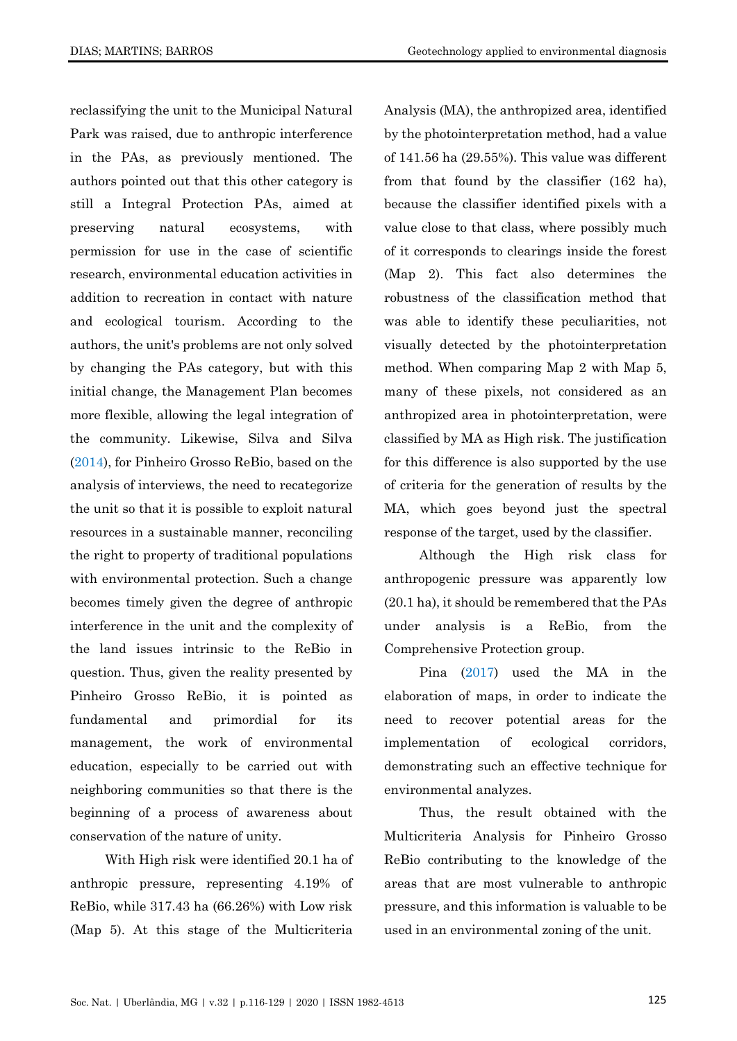reclassifying the unit to the Municipal Natural Park was raised, due to anthropic interference in the PAs, as previously mentioned. The authors pointed out that this other category is still a Integral Protection PAs, aimed at preserving natural ecosystems, with permission for use in the case of scientific research, environmental education activities in addition to recreation in contact with nature and ecological tourism. According to the authors, the unit's problems are not only solved by changing the PAs category, but with this initial change, the Management Plan becomes more flexible, allowing the legal integration of the community. Likewise, Silva and Silva [\(2014\)](#page-12-14), for Pinheiro Grosso ReBio, based on the analysis of interviews, the need to recategorize the unit so that it is possible to exploit natural resources in a sustainable manner, reconciling the right to property of traditional populations with environmental protection. Such a change becomes timely given the degree of anthropic interference in the unit and the complexity of the land issues intrinsic to the ReBio in question. Thus, given the reality presented by Pinheiro Grosso ReBio, it is pointed as fundamental and primordial for its management, the work of environmental education, especially to be carried out with neighboring communities so that there is the beginning of a process of awareness about conservation of the nature of unity.

With High risk were identified 20.1 ha of anthropic pressure, representing 4.19% of ReBio, while 317.43 ha (66.26%) with Low risk (Map 5). At this stage of the Multicriteria Analysis (MA), the anthropized area, identified by the photointerpretation method, had a value of 141.56 ha (29.55%). This value was different from that found by the classifier (162 ha), because the classifier identified pixels with a value close to that class, where possibly much of it corresponds to clearings inside the forest (Map 2). This fact also determines the robustness of the classification method that was able to identify these peculiarities, not visually detected by the photointerpretation method. When comparing Map 2 with Map 5, many of these pixels, not considered as an anthropized area in photointerpretation, were classified by MA as High risk. The justification for this difference is also supported by the use of criteria for the generation of results by the MA, which goes beyond just the spectral response of the target, used by the classifier.

Although the High risk class for anthropogenic pressure was apparently low (20.1 ha), it should be remembered that the PAs under analysis is a ReBio, from the Comprehensive Protection group.

Pina [\(2017\)](#page-12-17) used the MA in the elaboration of maps, in order to indicate the need to recover potential areas for the implementation of ecological corridors, demonstrating such an effective technique for environmental analyzes.

Thus, the result obtained with the Multicriteria Analysis for Pinheiro Grosso ReBio contributing to the knowledge of the areas that are most vulnerable to anthropic pressure, and this information is valuable to be used in an environmental zoning of the unit.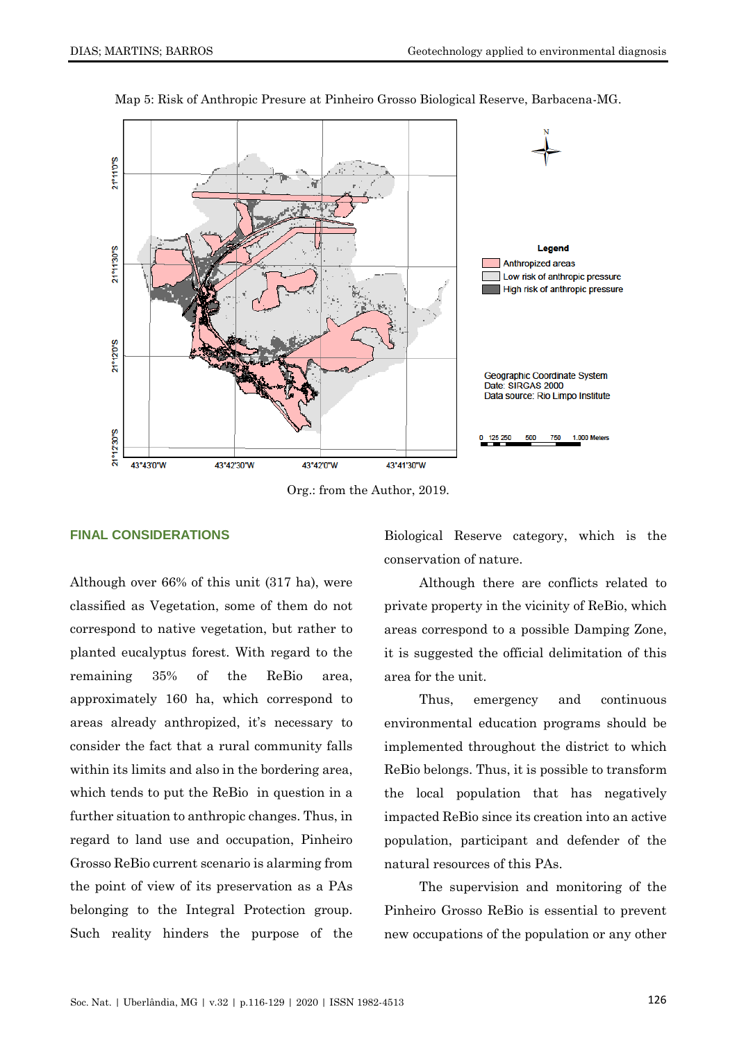

Map 5: Risk of Anthropic Presure at Pinheiro Grosso Biological Reserve, Barbacena-MG.

Org.: from the Author, 2019.

# **FINAL CONSIDERATIONS**

Although over 66% of this unit (317 ha), were classified as Vegetation, some of them do not correspond to native vegetation, but rather to planted eucalyptus forest. With regard to the remaining 35% of the ReBio area, approximately 160 ha, which correspond to areas already anthropized, it's necessary to consider the fact that a rural community falls within its limits and also in the bordering area, which tends to put the ReBio in question in a further situation to anthropic changes. Thus, in regard to land use and occupation, Pinheiro Grosso ReBio current scenario is alarming from the point of view of its preservation as a PAs belonging to the Integral Protection group. Such reality hinders the purpose of the

Biological Reserve category, which is the conservation of nature.

Although there are conflicts related to private property in the vicinity of ReBio, which areas correspond to a possible Damping Zone, it is suggested the official delimitation of this area for the unit.

Thus, emergency and continuous environmental education programs should be implemented throughout the district to which ReBio belongs. Thus, it is possible to transform the local population that has negatively impacted ReBio since its creation into an active population, participant and defender of the natural resources of this PAs.

The supervision and monitoring of the Pinheiro Grosso ReBio is essential to prevent new occupations of the population or any other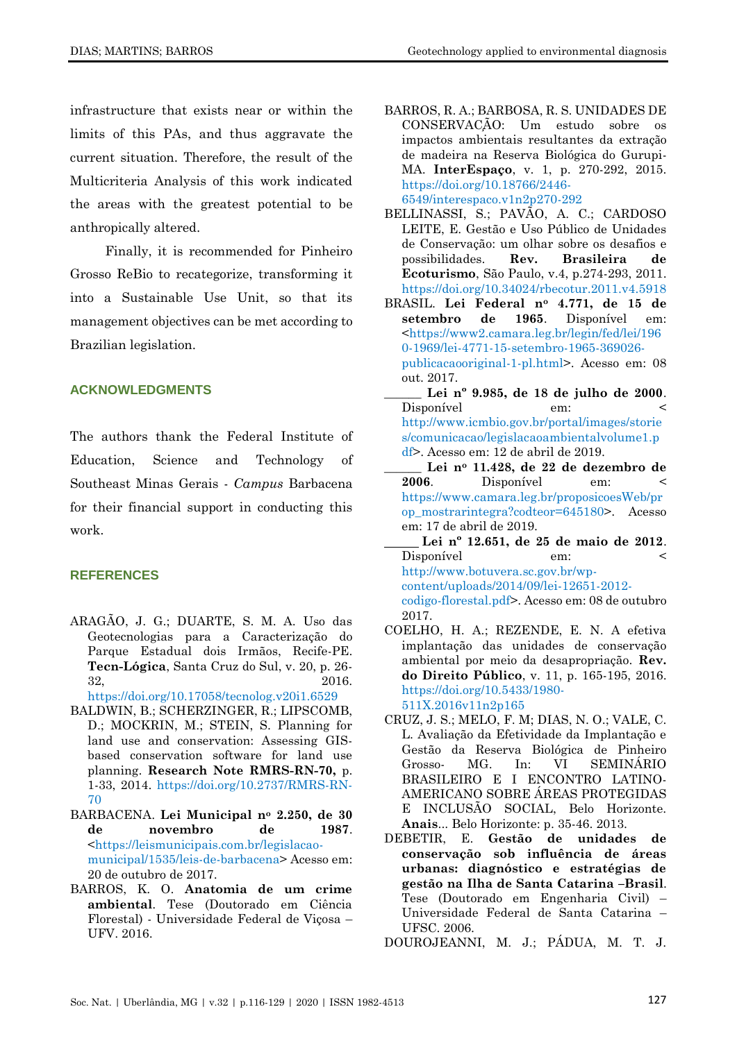infrastructure that exists near or within the limits of this PAs, and thus aggravate the current situation. Therefore, the result of the Multicriteria Analysis of this work indicated the areas with the greatest potential to be anthropically altered.

Finally, it is recommended for Pinheiro Grosso ReBio to recategorize, transforming it into a Sustainable Use Unit, so that its management objectives can be met according to Brazilian legislation.

# **ACKNOWLEDGMENTS**

The authors thank the Federal Institute of Education, Science and Technology of Southeast Minas Gerais - *Campus* Barbacena for their financial support in conducting this work.

#### **REFERENCES**

<span id="page-11-8"></span>ARAGÃO, J. G.; DUARTE, S. M. A. Uso das Geotecnologias para a Caracterização do Parque Estadual dois Irmãos, Recife-PE. **Tecn-Lógica**, Santa Cruz do Sul, v. 20, p. 26- 32, 2016.

<https://doi.org/10.17058/tecnolog.v20i1.6529>

- <span id="page-11-9"></span>BALDWIN, B.; SCHERZINGER, R.; LIPSCOMB, D.; MOCKRIN, M.; STEIN, S. Planning for land use and conservation: Assessing GISbased conservation software for land use planning. **Research Note RMRS-RN-70,** p. 1-33, 2014. [https://doi.org/10.2737/RMRS-RN-](https://doi.org/10.2737/RMRS-RN-70)[70](https://doi.org/10.2737/RMRS-RN-70)
- <span id="page-11-7"></span>BARBACENA. **Lei Municipal n<sup>o</sup> 2.250, de 30 de novembro de 1987**. [<https://leismunicipais.com.br/legislacao](https://leismunicipais.com.br/legislacao-municipal/1535/leis-de-barbacena)[municipal/1535/leis-de-barbacena>](https://leismunicipais.com.br/legislacao-municipal/1535/leis-de-barbacena) Acesso em: 20 de outubro de 2017.
- <span id="page-11-3"></span>BARROS, K. O. **Anatomia de um crime ambiental**. Tese (Doutorado em Ciência Florestal) - Universidade Federal de Viçosa – UFV. 2016.
- <span id="page-11-10"></span>BARROS, R. A.; BARBOSA, R. S. UNIDADES DE CONSERVAÇÃO: Um estudo sobre os impactos ambientais resultantes da extração de madeira na Reserva Biológica do Gurupi-MA. **InterEspaço**, v. 1, p. 270-292, 2015. [https://doi.org/10.18766/2446-](https://doi.org/10.18766/2446-6549/interespaco.v1n2p270-292) [6549/interespaco.v1n2p270-292](https://doi.org/10.18766/2446-6549/interespaco.v1n2p270-292)
- <span id="page-11-4"></span>BELLINASSI, S.; PAVÃO, A. C.; CARDOSO LEITE, E. Gestão e Uso Público de Unidades de Conservação: um olhar sobre os desafios e possibilidades. **Rev. Brasileira de Ecoturismo**, São Paulo, v.4, p.274-293, 2011. <https://doi.org/10.34024/rbecotur.2011.v4.5918>
- <span id="page-11-1"></span>BRASIL. **Lei Federal n<sup>o</sup> 4.771, de 15 de setembro de 1965**. Disponível em: [<https://www2.camara.leg.br/legin/fed/lei/196](https://www2.camara.leg.br/legin/fed/lei/1960-1969/lei-4771-15-setembro-1965-369026-publicacaooriginal-1-pl.html) [0-1969/lei-4771-15-setembro-1965-369026](https://www2.camara.leg.br/legin/fed/lei/1960-1969/lei-4771-15-setembro-1965-369026-publicacaooriginal-1-pl.html) [publicacaooriginal-1-pl.html>](https://www2.camara.leg.br/legin/fed/lei/1960-1969/lei-4771-15-setembro-1965-369026-publicacaooriginal-1-pl.html). Acesso em: 08 out. 2017.
- <span id="page-11-0"></span>**\_\_\_\_\_\_ Lei nº 9.985, de 18 de julho de 2000**. Disponível em: [http://www.icmbio.gov.br/portal/images/storie](http://www.icmbio.gov.br/portal/images/stories/comunicacao/legislacaoambientalvolume1.pdf) [s/comunicacao/legislacaoambientalvolume1.p](http://www.icmbio.gov.br/portal/images/stories/comunicacao/legislacaoambientalvolume1.pdf) [df>](http://www.icmbio.gov.br/portal/images/stories/comunicacao/legislacaoambientalvolume1.pdf). Acesso em: 12 de abril de 2019.
- \_\_\_\_\_\_ **Lei n<sup>o</sup> 11.428, de 22 de dezembro de 2006**. Disponível em: < [https://www.camara.leg.br/proposicoesWeb/pr](https://www.camara.leg.br/proposicoesWeb/prop_mostrarintegra?codteor=645180) [op\\_mostrarintegra?codteor=645180>](https://www.camara.leg.br/proposicoesWeb/prop_mostrarintegra?codteor=645180). Acesso em: 17 de abril de 2019.
- <span id="page-11-2"></span> **Lei nº 12.651, de 25 de maio de 2012**. Disponível em: < [http://www.botuvera.sc.gov.br/wp](http://www.botuvera.sc.gov.br/wp-content/uploads/2014/09/lei-12651-2012-codigo-florestal.pdf)[content/uploads/2014/09/lei-12651-2012](http://www.botuvera.sc.gov.br/wp-content/uploads/2014/09/lei-12651-2012-codigo-florestal.pdf) [codigo-florestal.pdf>](http://www.botuvera.sc.gov.br/wp-content/uploads/2014/09/lei-12651-2012-codigo-florestal.pdf). Acesso em: 08 de outubro 2017.
- <span id="page-11-12"></span>COELHO, H. A.; REZENDE, E. N. A efetiva implantação das unidades de conservação ambiental por meio da desapropriação. **Rev. do Direito Público**, v. 11, p. 165-195, 2016. [https://doi.org/10.5433/1980-](https://doi.org/10.5433/1980-511X.2016v11n2p165) [511X.2016v11n2p165](https://doi.org/10.5433/1980-511X.2016v11n2p165)
- <span id="page-11-11"></span>CRUZ, J. S.; MELO, F. M; DIAS, N. O.; VALE, C. L. Avaliação da Efetividade da Implantação e Gestão da Reserva Biológica de Pinheiro Grosso- MG. In: VI SEMINÁRIO BRASILEIRO E I ENCONTRO LATINO-AMERICANO SOBRE ÁREAS PROTEGIDAS E INCLUSÃO SOCIAL, Belo Horizonte. **Anais**... Belo Horizonte: p. 35-46. 2013.
- <span id="page-11-6"></span>DEBETIR, E. **Gestão de unidades de conservação sob influência de áreas urbanas: diagnóstico e estratégias de gestão na Ilha de Santa Catarina –Brasil**. Tese (Doutorado em Engenharia Civil) – Universidade Federal de Santa Catarina – UFSC. 2006.
- <span id="page-11-5"></span>DOUROJEANNI, M. J.; PÁDUA, M. T. J.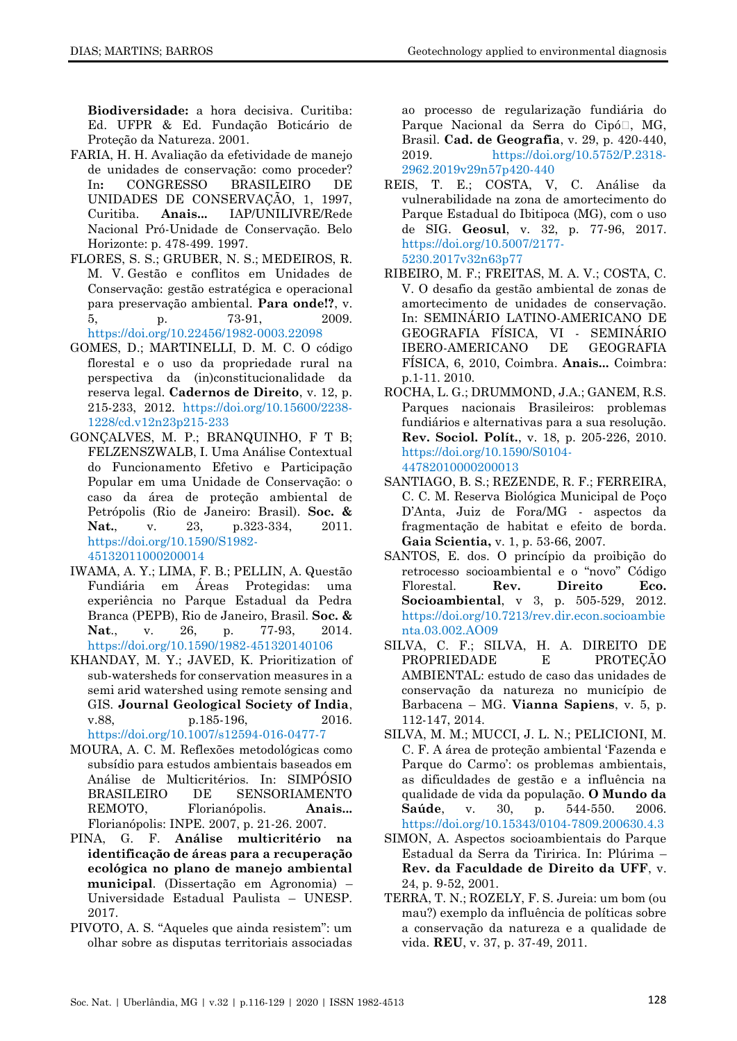**Biodiversidade:** a hora decisiva. Curitiba: Ed. UFPR & Ed. Fundação Boticário de Proteção da Natureza. 2001.

- <span id="page-12-7"></span>FARIA, H. H. Avaliação da efetividade de manejo de unidades de conservação: como proceder? In**:** CONGRESSO BRASILEIRO DE UNIDADES DE CONSERVAÇÃO, 1, 1997, Curitiba. **Anais...** IAP/UNILIVRE/Rede Nacional Pró-Unidade de Conservação. Belo Horizonte: p. 478-499. 1997.
- <span id="page-12-13"></span>[FLORES, S. S.;](http://lattes.cnpq.br/4390859529892584) GRUBER, N. S.; [MEDEIROS, R.](http://lattes.cnpq.br/9467575322597261)  [M. V.](http://lattes.cnpq.br/9467575322597261) Gestão e conflitos em Unidades de Conservação: gestão estratégica e operacional para preservação ambiental. **Para onde!?**, v. 5, p. 73-91, 2009. <https://doi.org/10.22456/1982-0003.22098>
- <span id="page-12-1"></span>GOMES, D.; MARTINELLI, D. M. C. O código florestal e o uso da propriedade rural na perspectiva da (in)constitucionalidade da reserva legal. **Cadernos de Direito**, v. 12, p. 215-233, 2012. [https://doi.org/10.15600/2238-](https://doi.org/10.15600/2238-1228/cd.v12n23p215-233) [1228/cd.v12n23p215-233](https://doi.org/10.15600/2238-1228/cd.v12n23p215-233)
- <span id="page-12-3"></span>GONÇALVES, M. P.; BRANQUINHO, F T B; FELZENSZWALB, I. Uma Análise Contextual do Funcionamento Efetivo e Participação Popular em uma Unidade de Conservação: o caso da área de proteção ambiental de Petrópolis (Rio de Janeiro: Brasil). **Soc. & Nat.**, v. 23, p.323-334, 2011. [https://doi.org/10.1590/S1982-](https://doi.org/10.1590/S1982-45132011000200014) [45132011000200014](https://doi.org/10.1590/S1982-45132011000200014)
- <span id="page-12-12"></span>IWAMA, A. Y.; LIMA, F. B.; PELLIN, A. Questão Fundiária em Áreas Protegidas: uma experiência no Parque Estadual da Pedra Branca (PEPB), Rio de Janeiro, Brasil. **Soc. & Nat**., v. 26, p. 77-93, 2014. <https://doi.org/10.1590/1982-451320140106>
- <span id="page-12-8"></span>KHANDAY, M. Y.; JAVED, K. Prioritization of sub-watersheds for conservation measures in a semi arid watershed using remote sensing and GIS. **Journal Geological Society of India**, v.88, p.185-196, 2016. <https://doi.org/10.1007/s12594-016-0477-7>
- <span id="page-12-10"></span>MOURA, A. C. M. Reflexões metodológicas como subsídio para estudos ambientais baseados em Análise de Multicritérios. In: SIMPÓSIO BRASILEIRO DE SENSORIAMENTO REMOTO, Florianópolis. **Anais...** Florianópolis: INPE. 2007, p. 21-26. 2007.
- <span id="page-12-17"></span>PINA, G. F. **Análise multicritério na identificação de áreas para a recuperação ecológica no plano de manejo ambiental municipal**. (Dissertação em Agronomia) – Universidade Estadual Paulista – UNESP. 2017.
- <span id="page-12-16"></span>PIVOTO, A. S. "Aqueles que ainda resistem": um olhar sobre as disputas territoriais associadas

ao processo de regularização fundiária do Parque Nacional da Serra do Cipó<sup>[]</sup>, MG, Brasil. **Cad. de Geografia**, v. 29, p. 420-440, 2019. [https://doi.org/10.5752/P.2318-](https://doi.org/10.5752/P.2318-2962.2019v29n57p420-440) [2962.2019v29n57p420-440](https://doi.org/10.5752/P.2318-2962.2019v29n57p420-440)

- <span id="page-12-9"></span>REIS, T. E.; COSTA, V, C. Análise da vulnerabilidade na zona de amortecimento do Parque Estadual do Ibitipoca (MG), com o uso de SIG. **Geosul**, v. 32, p. 77-96, 2017. [https://doi.org/10.5007/2177-](https://doi.org/10.5007/2177-5230.2017v32n63p77) [5230.2017v32n63p77](https://doi.org/10.5007/2177-5230.2017v32n63p77)
- <span id="page-12-0"></span>RIBEIRO, M. F.; FREITAS, M. A. V.; COSTA, C. V. O desafio da gestão ambiental de zonas de amortecimento de unidades de conservação. In: SEMINÁRIO LATINO-AMERICANO DE GEOGRAFIA FÍSICA, VI - SEMINÁRIO IBERO-AMERICANO DE GEOGRAFIA FÍSICA, 6, 2010, Coimbra. **Anais...** Coimbra: p.1-11. 2010.
- <span id="page-12-15"></span>ROCHA, L. G.; DRUMMOND, J.A.; GANEM, R.S. Parques nacionais Brasileiros: problemas fundiários e alternativas para a sua resolução. **Rev. Sociol. Polít.**, v. 18, p. 205-226, 2010. [https://doi.org/10.1590/S0104-](https://doi.org/10.1590/S0104-44782010000200013) [44782010000200013](https://doi.org/10.1590/S0104-44782010000200013)
- <span id="page-12-11"></span>SANTIAGO, B. S.; REZENDE, R. F.; FERREIRA, C. C. M. Reserva Biológica Municipal de Poço D'Anta, Juiz de Fora/MG - aspectos da fragmentação de habitat e efeito de borda. **Gaia Scientia,** v. 1, p. 53-66, 2007.
- <span id="page-12-2"></span>SANTOS, E. dos. O princípio da proibição do retrocesso socioambiental e o "novo" Código Florestal. **Rev. Direito Eco. Socioambiental**, v 3, p. 505-529, 2012. [https://doi.org/10.7213/rev.dir.econ.socioambie](https://doi.org/10.7213/rev.dir.econ.socioambienta.03.002.AO09) [nta.03.002.AO09](https://doi.org/10.7213/rev.dir.econ.socioambienta.03.002.AO09)
- <span id="page-12-14"></span>SILVA, C. F.; SILVA, H. A. DIREITO DE PROPRIEDADE E PROTEÇÃO AMBIENTAL: estudo de caso das unidades de conservação da natureza no município de Barbacena – MG. **Vianna Sapiens**, v. 5, p. 112-147, 2014.
- <span id="page-12-4"></span>SILVA, M. M.; MUCCI, J. L. N.; PELICIONI, M. C. F. A área de proteção ambiental 'Fazenda e Parque do Carmo': os problemas ambientais, as dificuldades de gestão e a influência na qualidade de vida da população. **O Mundo da Saúde**, v. 30, p. 544-550. 2006. <https://doi.org/10.15343/0104-7809.200630.4.3>
- <span id="page-12-5"></span>SIMON, A. Aspectos socioambientais do Parque Estadual da Serra da Tiririca. In: Plúrima – **Rev. da Faculdade de Direito da UFF**, v. 24, p. 9-52, 2001.
- <span id="page-12-6"></span>TERRA, T. N.; ROZELY, F. S. Jureia: um bom (ou mau?) exemplo da influência de políticas sobre a conservação da natureza e a qualidade de vida. **REU**, v. 37, p. 37-49, 2011.